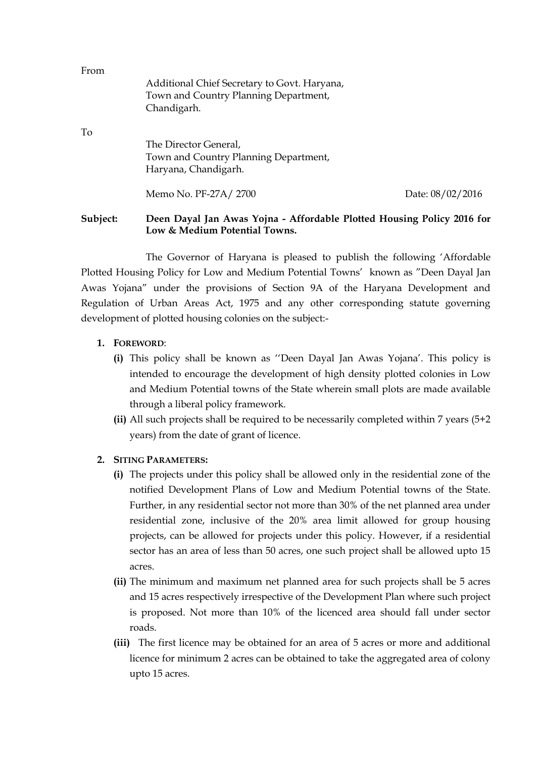| Subject:<br>Deen Dayal Jan Awas Yojna - Affordable Plotted Housing Policy 2016 for<br>Low & Medium Potential Towns. |                                                                                                      |                  |
|---------------------------------------------------------------------------------------------------------------------|------------------------------------------------------------------------------------------------------|------------------|
|                                                                                                                     | Memo No. PF-27A/2700                                                                                 | Date: 08/02/2016 |
| To                                                                                                                  | The Director General,<br>Town and Country Planning Department,<br>Haryana, Chandigarh.               |                  |
| From                                                                                                                | Additional Chief Secretary to Govt. Haryana,<br>Town and Country Planning Department,<br>Chandigarh. |                  |

The Governor of Haryana is pleased to publish the following 'Affordable Plotted Housing Policy for Low and Medium Potential Towns' known as "Deen Dayal Jan Awas Yojana" under the provisions of Section 9A of the Haryana Development and Regulation of Urban Areas Act, 1975 and any other corresponding statute governing development of plotted housing colonies on the subject:-

# **1. FOREWORD**:

- **(i)** This policy shall be known as ''Deen Dayal Jan Awas Yojana'. This policy is intended to encourage the development of high density plotted colonies in Low and Medium Potential towns of the State wherein small plots are made available through a liberal policy framework.
- **(ii)** All such projects shall be required to be necessarily completed within 7 years (5+2 years) from the date of grant of licence.

#### **2. SITING PARAMETERS:**

- **(i)** The projects under this policy shall be allowed only in the residential zone of the notified Development Plans of Low and Medium Potential towns of the State. Further, in any residential sector not more than 30% of the net planned area under residential zone, inclusive of the 20% area limit allowed for group housing projects, can be allowed for projects under this policy. However, if a residential sector has an area of less than 50 acres, one such project shall be allowed upto 15 acres.
- **(ii)** The minimum and maximum net planned area for such projects shall be 5 acres and 15 acres respectively irrespective of the Development Plan where such project is proposed. Not more than 10% of the licenced area should fall under sector roads.
- **(iii)** The first licence may be obtained for an area of 5 acres or more and additional licence for minimum 2 acres can be obtained to take the aggregated area of colony upto 15 acres.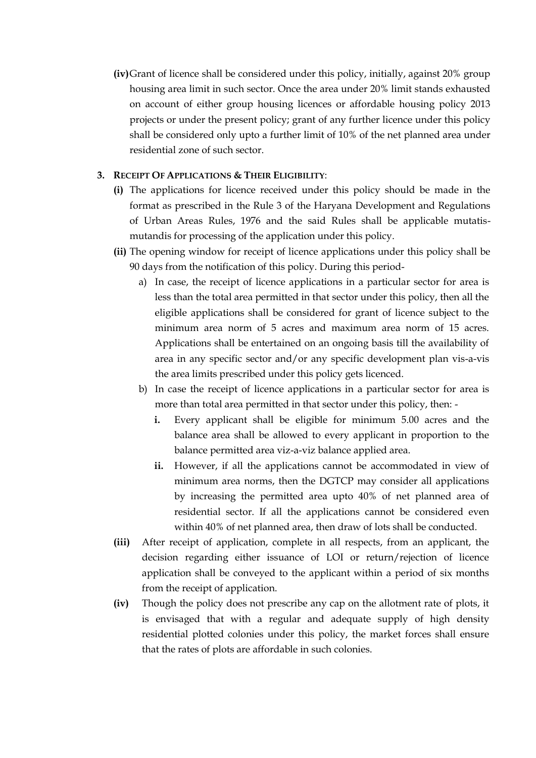**(iv)**Grant of licence shall be considered under this policy, initially, against 20% group housing area limit in such sector. Once the area under 20% limit stands exhausted on account of either group housing licences or affordable housing policy 2013 projects or under the present policy; grant of any further licence under this policy shall be considered only upto a further limit of 10% of the net planned area under residential zone of such sector.

# **3. RECEIPT OF APPLICATIONS & THEIR ELIGIBILITY**:

- **(i)** The applications for licence received under this policy should be made in the format as prescribed in the Rule 3 of the Haryana Development and Regulations of Urban Areas Rules, 1976 and the said Rules shall be applicable mutatismutandis for processing of the application under this policy.
- **(ii)** The opening window for receipt of licence applications under this policy shall be 90 days from the notification of this policy. During this period
	- a) In case, the receipt of licence applications in a particular sector for area is less than the total area permitted in that sector under this policy, then all the eligible applications shall be considered for grant of licence subject to the minimum area norm of 5 acres and maximum area norm of 15 acres. Applications shall be entertained on an ongoing basis till the availability of area in any specific sector and/or any specific development plan vis-a-vis the area limits prescribed under this policy gets licenced.
	- b) In case the receipt of licence applications in a particular sector for area is more than total area permitted in that sector under this policy, then:
		- **i.** Every applicant shall be eligible for minimum 5.00 acres and the balance area shall be allowed to every applicant in proportion to the balance permitted area viz-a-viz balance applied area.
		- **ii.** However, if all the applications cannot be accommodated in view of minimum area norms, then the DGTCP may consider all applications by increasing the permitted area upto 40% of net planned area of residential sector. If all the applications cannot be considered even within 40% of net planned area, then draw of lots shall be conducted.
- **(iii)** After receipt of application, complete in all respects, from an applicant, the decision regarding either issuance of LOI or return/rejection of licence application shall be conveyed to the applicant within a period of six months from the receipt of application.
- **(iv)** Though the policy does not prescribe any cap on the allotment rate of plots, it is envisaged that with a regular and adequate supply of high density residential plotted colonies under this policy, the market forces shall ensure that the rates of plots are affordable in such colonies.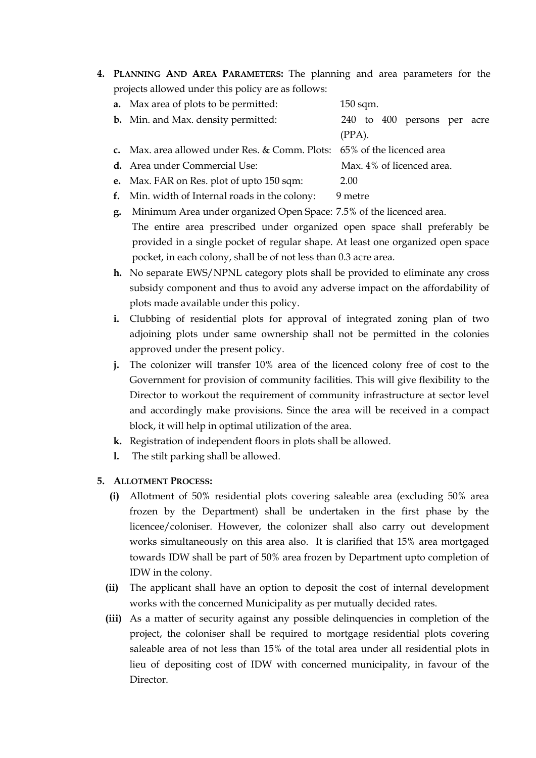**4. PLANNING AND AREA PARAMETERS:** The planning and area parameters for the projects allowed under this policy are as follows:

| <b>a.</b> Max area of plots to be permitted:                            | $150$ sqm.                  |
|-------------------------------------------------------------------------|-----------------------------|
| <b>b.</b> Min. and Max. density permitted:                              | 240 to 400 persons per acre |
|                                                                         | $(PPA)$ .                   |
| c. Max. area allowed under Res. & Comm. Plots: 65% of the licenced area |                             |
| <b>d.</b> Area under Commercial Use:                                    | Max. 4% of licenced area.   |
|                                                                         |                             |

- **e.** Max. FAR on Res. plot of upto 150 sqm: 2.00
- **f.** Min. width of Internal roads in the colony: 9 metre
- **g.** Minimum Area under organized Open Space: 7.5% of the licenced area. The entire area prescribed under organized open space shall preferably be provided in a single pocket of regular shape. At least one organized open space pocket, in each colony, shall be of not less than 0.3 acre area.
- **h.** No separate EWS/NPNL category plots shall be provided to eliminate any cross subsidy component and thus to avoid any adverse impact on the affordability of plots made available under this policy.
- **i.** Clubbing of residential plots for approval of integrated zoning plan of two adjoining plots under same ownership shall not be permitted in the colonies approved under the present policy.
- **j.** The colonizer will transfer 10% area of the licenced colony free of cost to the Government for provision of community facilities. This will give flexibility to the Director to workout the requirement of community infrastructure at sector level and accordingly make provisions. Since the area will be received in a compact block, it will help in optimal utilization of the area.
- **k.** Registration of independent floors in plots shall be allowed.
- **l.** The stilt parking shall be allowed.
- **5. ALLOTMENT PROCESS:**
	- **(i)** Allotment of 50% residential plots covering saleable area (excluding 50% area frozen by the Department) shall be undertaken in the first phase by the licencee/coloniser. However, the colonizer shall also carry out development works simultaneously on this area also. It is clarified that 15% area mortgaged towards IDW shall be part of 50% area frozen by Department upto completion of IDW in the colony.
	- **(ii)** The applicant shall have an option to deposit the cost of internal development works with the concerned Municipality as per mutually decided rates.
	- **(iii)** As a matter of security against any possible delinquencies in completion of the project, the coloniser shall be required to mortgage residential plots covering saleable area of not less than 15% of the total area under all residential plots in lieu of depositing cost of IDW with concerned municipality, in favour of the Director.